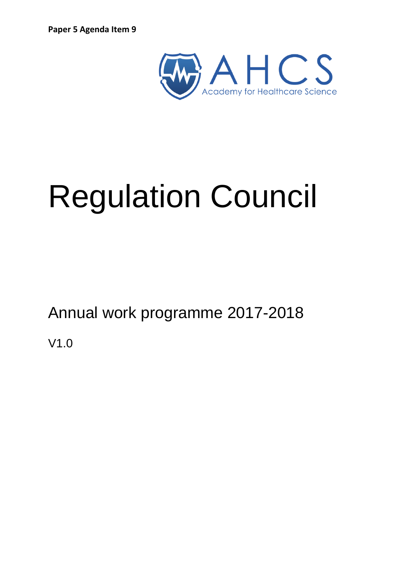

# Regulation Council

Annual work programme 2017-2018

V1.0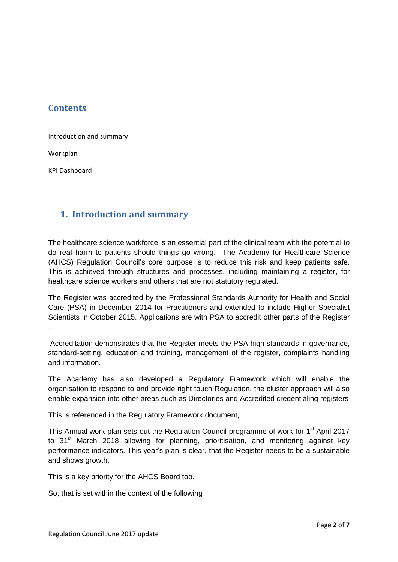# **Contents**

Introduction and summary

Workplan

KPI Dashboard

## **1. Introduction and summary**

The healthcare science workforce is an essential part of the clinical team with the potential to do real harm to patients should things go wrong. The Academy for Healthcare Science (AHCS) Regulation Council's core purpose is to reduce this risk and keep patients safe. This is achieved through structures and processes, including maintaining a register, for healthcare science workers and others that are not statutory regulated.

The Register was accredited by the Professional Standards Authority for Health and Social Care (PSA) in December 2014 for Practitioners and extended to include Higher Specialist Scientists in October 2015. Applications are with PSA to accredit other parts of the Register

Accreditation demonstrates that the Register meets the PSA high standards in governance, standard-setting, education and training, management of the register, complaints handling and information.

The Academy has also developed a Regulatory Framework which will enable the organisation to respond to and provide right touch Regulation, the cluster approach will also enable expansion into other areas such as Directories and Accredited credentialing registers

This is referenced in the Regulatory Framework document,

This Annual work plan sets out the Regulation Council programme of work for 1<sup>st</sup> April 2017 to  $31<sup>st</sup>$  March 2018 allowing for planning, prioritisation, and monitoring against key performance indicators. This year's plan is clear, that the Register needs to be a sustainable and shows growth.

This is a key priority for the AHCS Board too.

So, that is set within the context of the following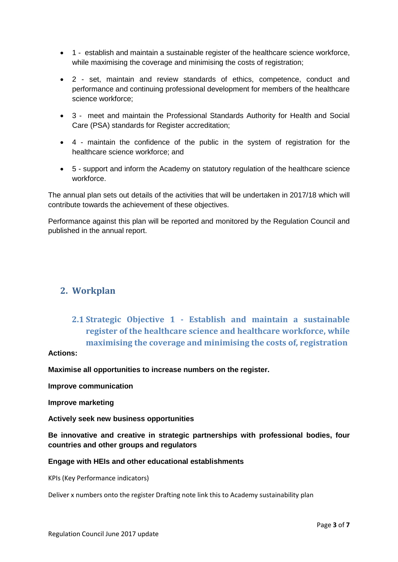- 1 establish and maintain a sustainable register of the healthcare science workforce, while maximising the coverage and minimising the costs of registration;
- 2 set, maintain and review standards of ethics, competence, conduct and performance and continuing professional development for members of the healthcare science workforce;
- 3 meet and maintain the Professional Standards Authority for Health and Social Care (PSA) standards for Register accreditation;
- 4 maintain the confidence of the public in the system of registration for the healthcare science workforce; and
- 5 support and inform the Academy on statutory regulation of the healthcare science workforce.

The annual plan sets out details of the activities that will be undertaken in 2017/18 which will contribute towards the achievement of these objectives.

Performance against this plan will be reported and monitored by the Regulation Council and published in the annual report.

## **2. Workplan**

# **2.1 Strategic Objective 1 - Establish and maintain a sustainable register of the healthcare science and healthcare workforce, while maximising the coverage and minimising the costs of, registration**

## **Actions:**

**Maximise all opportunities to increase numbers on the register.**

**Improve communication**

**Improve marketing**

**Actively seek new business opportunities**

**Be innovative and creative in strategic partnerships with professional bodies, four countries and other groups and regulators**

#### **Engage with HEIs and other educational establishments**

KPIs (Key Performance indicators)

Deliver x numbers onto the register Drafting note link this to Academy sustainability plan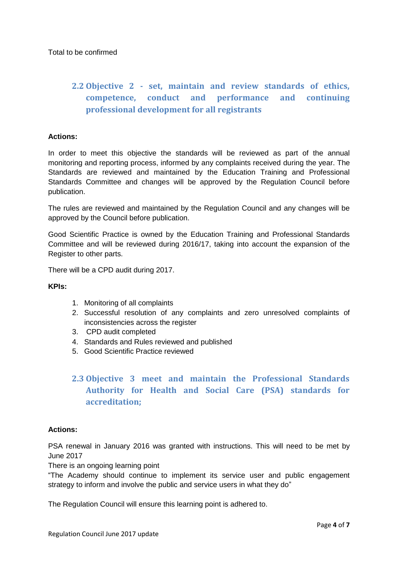# **2.2 Objective 2 - set, maintain and review standards of ethics, competence, conduct and performance and continuing professional development for all registrants**

## **Actions:**

In order to meet this objective the standards will be reviewed as part of the annual monitoring and reporting process, informed by any complaints received during the year. The Standards are reviewed and maintained by the Education Training and Professional Standards Committee and changes will be approved by the Regulation Council before publication.

The rules are reviewed and maintained by the Regulation Council and any changes will be approved by the Council before publication.

Good Scientific Practice is owned by the Education Training and Professional Standards Committee and will be reviewed during 2016/17, taking into account the expansion of the Register to other parts.

There will be a CPD audit during 2017.

#### **KPIs:**

- 1. Monitoring of all complaints
- 2. Successful resolution of any complaints and zero unresolved complaints of inconsistencies across the register
- 3. CPD audit completed
- 4. Standards and Rules reviewed and published
- 5. Good Scientific Practice reviewed

# **2.3 Objective 3 meet and maintain the Professional Standards Authority for Health and Social Care (PSA) standards for accreditation;**

#### **Actions:**

PSA renewal in January 2016 was granted with instructions. This will need to be met by June 2017

There is an ongoing learning point

"The Academy should continue to implement its service user and public engagement strategy to inform and involve the public and service users in what they do"

The Regulation Council will ensure this learning point is adhered to.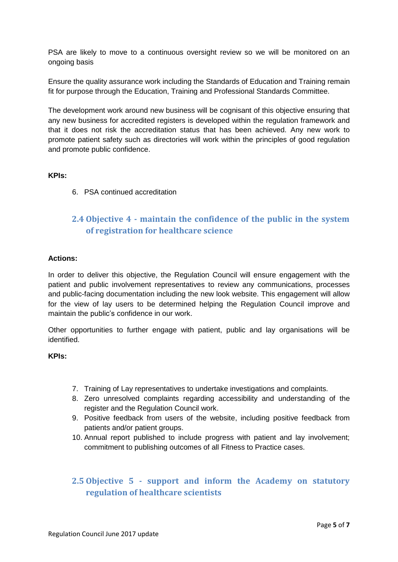PSA are likely to move to a continuous oversight review so we will be monitored on an ongoing basis

Ensure the quality assurance work including the Standards of Education and Training remain fit for purpose through the Education, Training and Professional Standards Committee.

The development work around new business will be cognisant of this objective ensuring that any new business for accredited registers is developed within the regulation framework and that it does not risk the accreditation status that has been achieved. Any new work to promote patient safety such as directories will work within the principles of good regulation and promote public confidence.

### **KPIs:**

6. PSA continued accreditation

## **2.4 Objective 4 - maintain the confidence of the public in the system of registration for healthcare science**

#### **Actions:**

In order to deliver this objective, the Regulation Council will ensure engagement with the patient and public involvement representatives to review any communications, processes and public-facing documentation including the new look website. This engagement will allow for the view of lay users to be determined helping the Regulation Council improve and maintain the public's confidence in our work.

Other opportunities to further engage with patient, public and lay organisations will be identified.

### **KPIs:**

- 7. Training of Lay representatives to undertake investigations and complaints.
- 8. Zero unresolved complaints regarding accessibility and understanding of the register and the Regulation Council work.
- 9. Positive feedback from users of the website, including positive feedback from patients and/or patient groups.
- 10. Annual report published to include progress with patient and lay involvement; commitment to publishing outcomes of all Fitness to Practice cases.

## **2.5 Objective 5 - support and inform the Academy on statutory regulation of healthcare scientists**